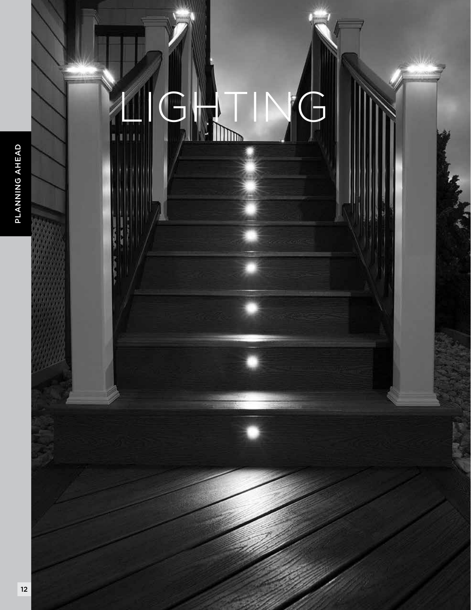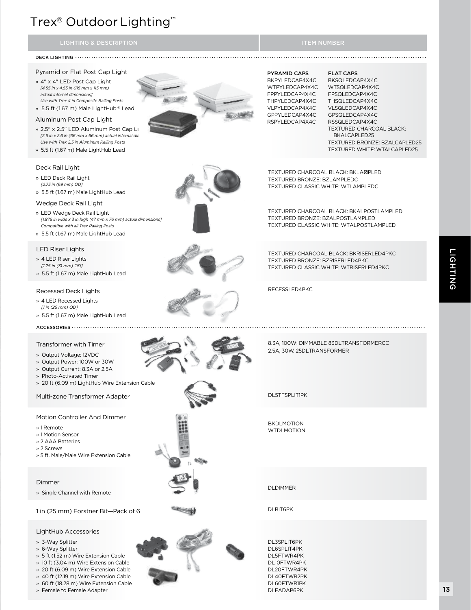## Trex® Outdoor Lighting™

#### DECK LIGHTING

#### Pyramid or Flat Post Cap Light

- » 4" x 4" LED Post Cap Light *[4.55 in x 4.55 in (115 mm x 115 mm) actual internal dimensions] Use with Trex 4 in Composite Railing Posts*
- » 5.5 ft (1.67 m) Male LightHub ® Lead

#### Aluminum Post Cap Light

- » 2.5" x 2.5" LED Aluminum Post Cap Li *[2.6 in x 2.6 in (66 mm x 66 mm) actual internal dimensions] Use with Trex 2.5 in Aluminum Railing Posts*
- » 5.5 ft (1.67 m) Male LightHub Lead

#### Deck Rail Light

- » LED Deck Rail Light *[2.75 in (69 mm) OD]*
- » 5.5 ft (1.67 m) Male LightHub Lead

#### Wedge Deck Rail Light

- » LED Wedge Deck Rail Light *[1.875 in wide x 3 in high (47 mm x 76 mm) actual dimensions] Compatible with all Trex Railing Posts*
- » 5.5 ft (1.67 m) Male LightHub Lead

#### LED Riser Lights

- » 4 LED Riser Lights
- *[1.25 in (31 mm) OD]*
- » 5.5 ft (1.67 m) Male LightHub Lead

#### Recessed Deck Lights

- » 4 LED Recessed Lights
- *[1 in (25 mm) OD]*
- » 5.5 ft (1.67 m) Male LightHub Lead

ACCESSORIES .................................

#### Transformer with Timer

- » Output Voltage: 12VDC
- » Output Power: 100W or 30W
- » Output Current: 8.3A or 2.5A
- » Photo-Activated Timer
- » 20 ft (6.09 m) LightHub Wire Extension Cable

Multi-zone Transformer Adapter

#### Motion Controller And Dimmer

- » 1 Remote
- » 1 Motion Sensor
- » 2 AAA Batteries
- » 2 Screws
- » 5 ft. Male/Male Wire Extension Cable

#### Dimmer

» Single Channel with Remote

#### 1 in (25 mm) Forstner Bit—Pack of 6

#### LightHub Accessories

- » 3-Way Splitter
- » 6-Way Splitter
- » 5 ft (1.52 m) Wire Extension Cable
- » 10 ft (3.04 m) Wire Extension Cable
- » 20 ft (6.09 m) Wire Extension Cable
- » 40 ft (12.19 m) Wire Extension Cable
- » 60 ft (18.28 m) Wire Extension Cable » Female to Female Adapter

#### PYRAMID CAPS

BKPYLEDCAP4X4C WTPYLEDCAP4X4C FPPYLEDCAP4X4C THPYLEDCAP4X4C VLPYLEDCAP4X4C GPPYLEDCAP4X4C RSPYLEDCAP4X4C

#### FLAT CAPS

BKSQLEDCAP4X4C WTSQLEDCAP4X4C FPSQLEDCAP4X4C THSQLEDCAP4X4C VLSQLEDCAP4X4C GPSQLEDCAP4X4C RSSQLEDCAP4X4C TEXTURED CHARCOAL BLACK: BKALCAPLED25 TEXTURED BRONZE: BZALCAPLED25 TEXTURED WHITE: WTALCAPLED25

TEXTURED CHARCOAL BLACK: BKLAØPLED TEXTURED BRONZE: BZLAMPLEDC TEXTURED CLASSIC WHITE: WTLAMPLEDC

TEXTURED CHARCOAL BLACK: BKALPOSTLAMPLED TEXTURED BRONZE: BZALPOSTLAMPLED TEXTURED CLASSIC WHITE: WTALPOSTLAMPLED

TEXTURED CHARCOAL BLACK: BKRISERLED4PKC TEXTURED BRONZE: BZRISERLED4PKC TEXTURED CLASSIC WHITE: WTRISERLED4PKC

8.3A, 100W: DIMMABLE 83DLTRANSFORMERCC

2.5A, 30W: 25DLTRANSFORMER

RECESSLED4PKC



DL5TFSPLIT1PK

BKDLMOTION WTDI MOTION

DLDIMMER

DI BIT<sub>6</sub>PK

DL3SPLIT6PK DL6SPLIT4PK DL5FTWR4PK DL10FTWR4PK DL20FTWR4PK DL40FTWR2PK DL60FTWR1PK DLFADAP6PK

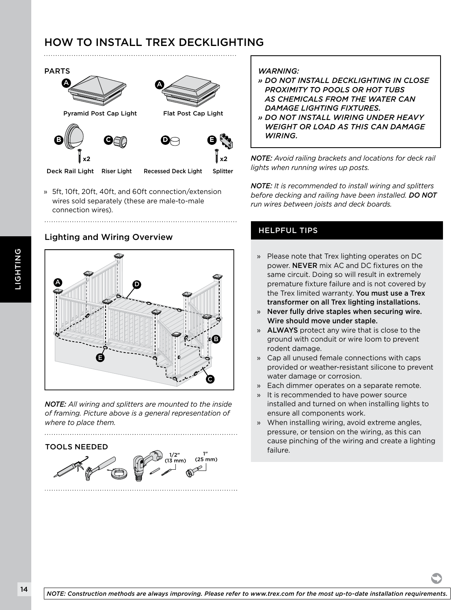## HOW TO INSTALL TREX DECKLIGHTING



» 5ft, 10ft, 20ft, 40ft, and 60ft connection/extension wires sold separately (these are male-to-male connection wires).

#### Lighting and Wiring Overview



*NOTE: All wiring and splitters are mounted to the inside of framing. Picture above is a general representation of where to place them.*

TOOLS NEEDED



#### *WARNING:*

- *» DO NOT INSTALL DECKLIGHTING IN CLOSE PROXIMITY TO POOLS OR HOT TUBS AS CHEMICALS FROM THE WATER CAN DAMAGE LIGHTING FIXTURES.*
- *» DO NOT INSTALL WIRING UNDER HEAVY WEIGHT OR LOAD AS THIS CAN DAMAGE WIRING.*

*NOTE: Avoid railing brackets and locations for deck rail lights when running wires up posts.*

B C D *before decking and railing have been installed. DO NOT NOTE: It is recommended to install wiring and splitters run wires between joists and deck boards.*

#### HELPFUL TIPS

- » Please note that Trex lighting operates on DC power. NEVER mix AC and DC fixtures on the same circuit. Doing so will result in extremely premature fixture failure and is not covered by the Trex limited warranty. You must use a Trex transformer on all Trex lighting installations.
- » Never fully drive staples when securing wire. Wire should move under staple.
- » ALWAYS protect any wire that is close to the ground with conduit or wire loom to prevent rodent damage.
- » Cap all unused female connections with caps provided or weather-resistant silicone to prevent water damage or corrosion.
- » Each dimmer operates on a separate remote.
- » It is recommended to have power source installed and turned on when installing lights to ensure all components work.
- » When installing wiring, avoid extreme angles, pressure, or tension on the wiring, as this can cause pinching of the wiring and create a lighting failure.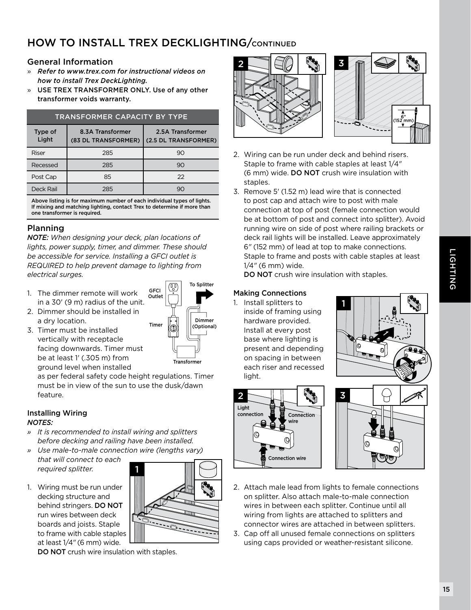## **HOW TO INSTALL TREX DECKLIGHTING/CONTINUED**

#### General Information

- » *Refer to www.trex.com for instructional videos on how to install Trex DeckLighting.*
- » USE TREX TRANSFORMER ONLY. Use of any other transformer voids warranty.

#### TRANSFORMER CAPACITY BY TYPE

| Type of<br>Light | 8.3A Transformer<br>(83 DL TRANSFORMER) | 2.5A Transformer<br>(2.5 DL TRANSFORMER) |
|------------------|-----------------------------------------|------------------------------------------|
| Riser            | 285                                     | 90                                       |
| Recessed         | 285                                     | 90                                       |
| Post Cap         | 85                                      | 22                                       |
| Deck Rail        | 285                                     | 90                                       |

Above listing is for maximum number of each individual types of lights. If mixing and matching lighting, contact Trex to determine if more than one transformer is required.

#### Planning

*NOTE: When designing your deck, plan locations of lights, power supply, timer, and dimmer. These should be accessible for service. Installing a GFCI outlet is REQUIRED to help prevent damage to lighting from electrical surges.*

- 1. The dimmer remote will work in a 30' (9 m) radius of the unit.
- 2. Dimmer should be installed in a dry location.
- 3. Timer must be installed vertically with receptacle facing downwards. Timer must be at least 1' (.305 m) from ground level when installed



as per federal safety code height regulations. Timer must be in view of the sun to use the dusk/dawn feature.

#### Installing Wiring *NOTES:*

- *» It is recommended to install wiring and splitters before decking and railing have been installed.*
- *» Use male-to-male connection wire (lengths vary) that will connect to each required splitter.* 1
- 1. Wiring must be run under decking structure and behind stringers. DO NOT run wires between deck boards and joists. Staple to frame with cable staples at least 1/4*"* (6 mm) wide.







- 2. Wiring can be run under deck and behind risers. Staple to frame with cable staples at least 1/4*"* (6 mm) wide. DO NOT crush wire insulation with staples.
- 3. Remove 5' (1.52 m) lead wire that is connected to post cap and attach wire to post with male connection at top of post (female connection would be at bottom of post and connect into splitter). Avoid running wire on side of post where railing brackets or deck rail lights will be installed. Leave approximately 6*"* (152 mm) of lead at top to make connections. Staple to frame and posts with cable staples at least 1/4*"* (6 mm) wide.

DO NOT crush wire insulation with staples.

#### Making Connections

1. Install splitters to inside of framing using hardware provided. Install at every post base where lighting is present and depending on spacing in between each riser and recessed light.







- 2. Attach male lead from lights to female connections on splitter. Also attach male-to-male connection wires in between each splitter. Continue until all wiring from lights are attached to splitters and connector wires are attached in between splitters.
- 3. Cap off all unused female connections on splitters using caps provided or weather-resistant silicone.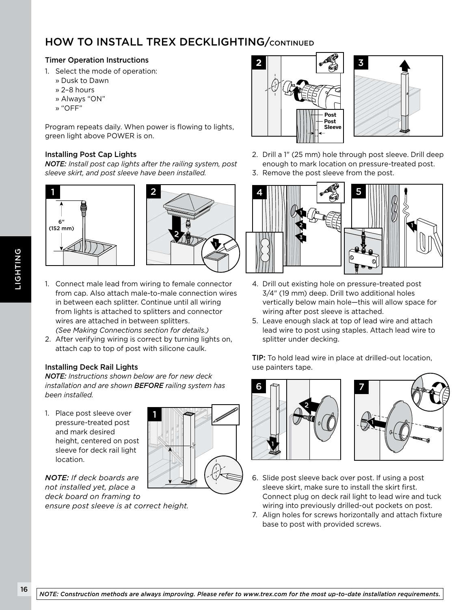## HOW TO INSTALL TREX DECKLIGHTING/CONTINUED

#### Timer Operation Instructions

- 1. Select the mode of operation:
	- » Dusk to Dawn
	- » 2–8 hours
	- » Always "ON"
	- » "OFF"

Program repeats daily. When power is flowing to lights, green light above POWER is on.

#### Installing Post Cap Lights

*NOTE: Install post cap lights after the railing system, post sleeve skirt, and post sleeve have been installed.*





- 1. Connect male lead from wiring to female connector from cap. Also attach male-to-male connection wires in between each splitter. Continue until all wiring from lights is attached to splitters and connector wires are attached in between splitters. *(See Making Connections section for details.)*
- 2. After verifying wiring is correct by turning lights on, attach cap to top of post with silicone caulk.

#### Installing Deck Rail Lights

*NOTE: Instructions shown below are for new deck installation and are shown BEFORE railing system has been installed.*

1. Place post sleeve over pressure-treated post and mark desired height, centered on post sleeve for deck rail light location.



*NOTE: If deck boards are not installed yet, place a deck board on framing to ensure post sleeve is at correct height.*





- 2. Drill a 1" (25 mm) hole through post sleeve. Drill deep enough to mark location on pressure-treated post.
- 3. Remove the post sleeve from the post.



- 4. Drill out existing hole on pressure-treated post 3/4" (19 mm) deep. Drill two additional holes vertically below main hole—this will allow space for wiring after post sleeve is attached.
- 5. Leave enough slack at top of lead wire and attach lead wire to post using staples. Attach lead wire to splitter under decking.

TIP: To hold lead wire in place at drilled-out location, use painters tape.





- 6. Slide post sleeve back over post. If using a post sleeve skirt, make sure to install the skirt first. Connect plug on deck rail light to lead wire and tuck wiring into previously drilled-out pockets on post.
- 7. Align holes for screws horizontally and attach fixture base to post with provided screws.

LIGHTING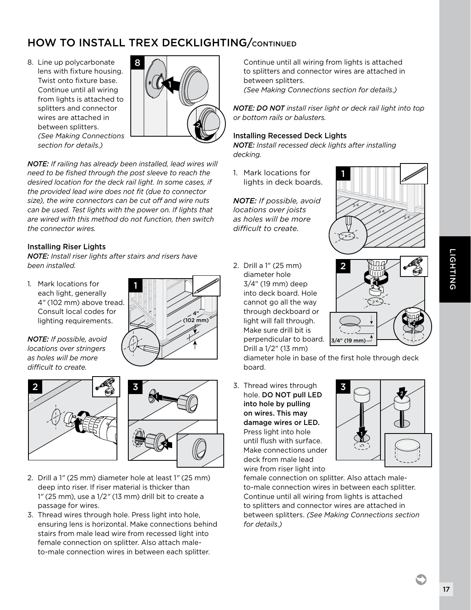## **HOW TO INSTALL TREX DECKLIGHTING/CONTINUED**

8. Line up polycarbonate lens with fixture housing. Twist onto fixture base. Continue until all wiring from lights is attached to splitters and connector wires are attached in between splitters. *(See Making Connections section for details.)*



*NOTE: If railing has already been installed, lead wires will need to be fished through the post sleeve to reach the desired location for the deck rail light. In some cases, if the provided lead wire does not fit (due to connector size), the wire connectors can be cut off and wire nuts can be used. Test lights with the power on. If lights that are wired with this method do not function, then switch the connector wires.*

#### Installing Riser Lights

*NOTE: Install riser lights after stairs and risers have been installed.*

1. Mark locations for each light, generally 4*"* (102 mm) above tread. Consult local codes for lighting requirements.







- 2. Drill a 1*"* (25 mm) diameter hole at least 1*"* (25 mm) deep into riser. If riser material is thicker than 1*"* (25 mm), use a 1/2*"* (13 mm) drill bit to create a passage for wires.
- 3. Thread wires through hole. Press light into hole, ensuring lens is horizontal. Make connections behind stairs from male lead wire from recessed light into female connection on splitter. Also attach maleto-male connection wires in between each splitter.

Continue until all wiring from lights is attached to splitters and connector wires are attached in between splitters. *(See Making Connections section for details.)*

*NOTE: DO NOT install riser light or deck rail light into top or bottom rails or balusters.*

#### Installing Recessed Deck Lights

*NOTE: Install recessed deck lights after installing decking.*

1. Mark locations for lights in deck boards.

*NOTE: If possible, avoid locations over joists as holes will be more difficult to create.*

2. Drill a 1" (25 mm) diameter hole 3/4" (19 mm) deep into deck board. Hole cannot go all the way through deckboard or light will fall through. Make sure drill bit is perpendicular to board. Drill a 1/2" (13 mm)





diameter hole in base of the first hole through deck board.

3. Thread wires through hole. DO NOT pull LED into hole by pulling on wires. This may damage wires or LED. Press light into hole until flush with surface. Make connections under deck from male lead wire from riser light into



female connection on splitter. Also attach maleto-male connection wires in between each splitter. Continue until all wiring from lights is attached to splitters and connector wires are attached in between splitters. *(See Making Connections section for details.)*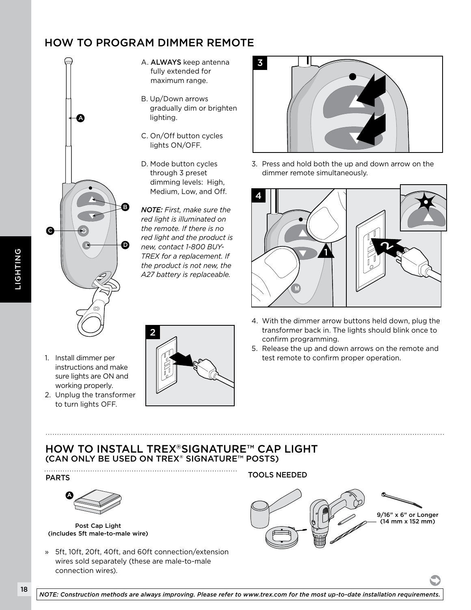## HOW TO PROGRAM DIMMER REMOTE



- A. ALWAYS keep antenna fully extended for maximum range.
- B. Up/Down arrows gradually dim or brighten lighting.
- C. On/Off button cycles lights ON/OFF.
- D. Mode button cycles through 3 preset dimming levels: High, Medium, Low, and Off.

*NOTE: First, make sure the red light is illuminated on the remote. If there is no red light and the product is new, contact 1-800 BUY-TREX for a replacement. If the product is not new, the A27 battery is replaceable.*



3. Press and hold both the up and down arrow on the dimmer remote simultaneously.



- 4. With the dimmer arrow buttons held down, plug the transformer back in. The lights should blink once to confirm programming.
- 5. Release the up and down arrows on the remote and test remote to confirm proper operation.
- 1. Install dimmer per instructions and make sure lights are ON and working properly.
- 2. Unplug the transformer to turn lights OFF.



## HOW TO INSTALL TREX®SIGNATURE™ CAP LIGHT (CAN ONLY BE USED ON TREX® SIGNATURE™ POSTS)

#### PARTS



Post Cap Light (includes 5ft male-to-male wire)

» 5ft, 10ft, 20ft, 40ft, and 60ft connection/extension wires sold separately (these are male-to-male connection wires).

TOOLS NEEDED

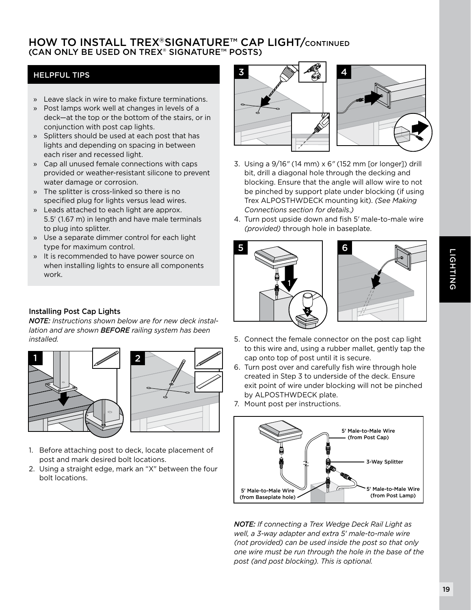### **HOW TO INSTALL TREX®SIGNATURE™ CAP LIGHT/CONTINUED** (CAN ONLY BE USED ON TREX® SIGNATURE™ POSTS)

#### HELPFUL TIPS

- » Leave slack in wire to make fixture terminations.
- » Post lamps work well at changes in levels of a deck—at the top or the bottom of the stairs, or in conjunction with post cap lights.
- » Splitters should be used at each post that has lights and depending on spacing in between each riser and recessed light.
- » Cap all unused female connections with caps provided or weather-resistant silicone to prevent water damage or corrosion.
- » The splitter is cross-linked so there is no specified plug for lights versus lead wires.
- » Leads attached to each light are approx. 5.5' (1.67 m) in length and have male terminals to plug into splitter.
- » Use a separate dimmer control for each light type for maximum control.
- » It is recommended to have power source on when installing lights to ensure all components work.

#### Installing Post Cap Lights

*NOTE: Instructions shown below are for new deck installation and are shown BEFORE railing system has been installed.*





- 1. Before attaching post to deck, locate placement of post and mark desired bolt locations.
- 2. Using a straight edge, mark an "X" between the four bolt locations.



- 3. Using a 9/16*"* (14 mm) x 6*"* (152 mm [or longer]) drill bit, drill a diagonal hole through the decking and blocking. Ensure that the angle will allow wire to not be pinched by support plate under blocking (if using Trex ALPOSTHWDECK mounting kit). *(See Making Connections section for details.)*
- 4. Turn post upside down and fish 5*'* male-to-male wire *(provided)* through hole in baseplate.





- 5. Connect the female connector on the post cap light to this wire and, using a rubber mallet, gently tap the cap onto top of post until it is secure.
- 6. Turn post over and carefully fish wire through hole created in Step 3 to underside of the deck. Ensure exit point of wire under blocking will not be pinched by ALPOSTHWDECK plate.
- 7. Mount post per instructions.



*NOTE: If connecting a Trex Wedge Deck Rail Light as well, a 3-way adapter and extra 5' male-to-male wire (not provided) can be used inside the post so that only one wire must be run through the hole in the base of the post (and post blocking). This is optional.*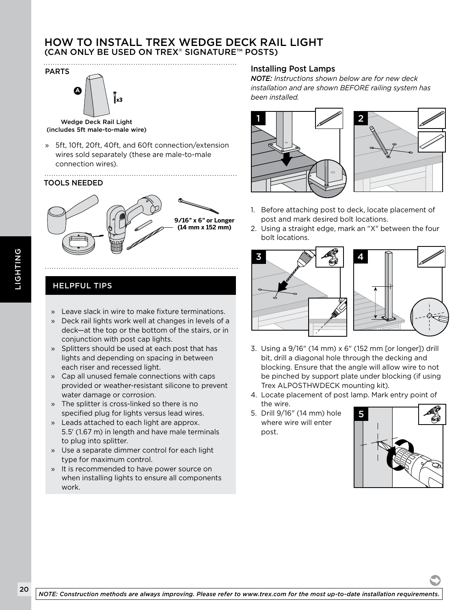#### HOW TO INSTALL TREX WEDGE DECK RAIL LIGHT (CAN ONLY BE USED ON TREX® SIGNATURE™ POSTS)



Wedge Deck Rail Light (includes 5ft male-to-male wire)

» 5ft, 10ft, 20ft, 40ft, and 60ft connection/extension wires sold separately (these are male-to-male connection wires).

#### TOOLS NEEDED



## HELPFUL TIPS

- » Leave slack in wire to make fixture terminations.
- » Deck rail lights work well at changes in levels of a deck—at the top or the bottom of the stairs, or in conjunction with post cap lights.
- » Splitters should be used at each post that has lights and depending on spacing in between each riser and recessed light.
- » Cap all unused female connections with caps provided or weather-resistant silicone to prevent water damage or corrosion.
- » The splitter is cross-linked so there is no specified plug for lights versus lead wires.
- » Leads attached to each light are approx. 5.5' (1.67 m) in length and have male terminals to plug into splitter.
- » Use a separate dimmer control for each light type for maximum control.
- » It is recommended to have power source on when installing lights to ensure all components work.

#### Installing Post Lamps

*NOTE: Instructions shown below are for new deck installation and are shown BEFORE railing system has been installed.*





- 1. Before attaching post to deck, locate placement of post and mark desired bolt locations.
- 2. Using a straight edge, mark an "X" between the four bolt locations.



- 3. Using a 9/16" (14 mm) x 6" (152 mm [or longer]) drill bit, drill a diagonal hole through the decking and blocking. Ensure that the angle will allow wire to not be pinched by support plate under blocking (if using Trex ALPOSTHWDECK mounting kit).
- 4. Locate placement of post lamp. Mark entry point of the wire.
- 5. Drill 9/16" (14 mm) hole where wire will enter post.

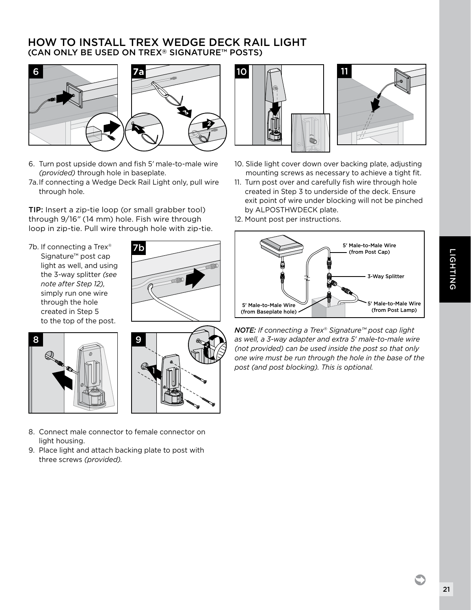### HOW TO INSTALL TREX WEDGE DECK RAIL LIGHT (CAN ONLY BE USED ON TREX® SIGNATURE™ POSTS)



- 6. Turn post upside down and fish 5*'* male-to-male wire *(provided)* through hole in baseplate.
- 7a. If connecting a Wedge Deck Rail Light only, pull wire through hole.

TIP: Insert a zip-tie loop (or small grabber tool) through 9/16*"* (14 mm) hole. Fish wire through loop in zip-tie. Pull wire through hole with zip-tie.

7b. If connecting a Trex<sup>®</sup> Signature™ post cap light as well, and using the 3-way splitter *(see note after Step 12),* simply run one wire through the hole created in Step 5 to the top of the post.







- 8. Connect male connector to female connector on light housing.
- 9. Place light and attach backing plate to post with three screws *(provided).*





- 10. Slide light cover down over backing plate, adjusting mounting screws as necessary to achieve a tight fit.
- 11. Turn post over and carefully fish wire through hole created in Step 3 to underside of the deck. Ensure exit point of wire under blocking will not be pinched by ALPOSTHWDECK plate.
- 12. Mount post per instructions.



*NOTE: If connecting a Trex® Signature™ post cap light as well, a 3-way adapter and extra 5' male-to-male wire (not provided) can be used inside the post so that only one wire must be run through the hole in the base of the post (and post blocking). This is optional.*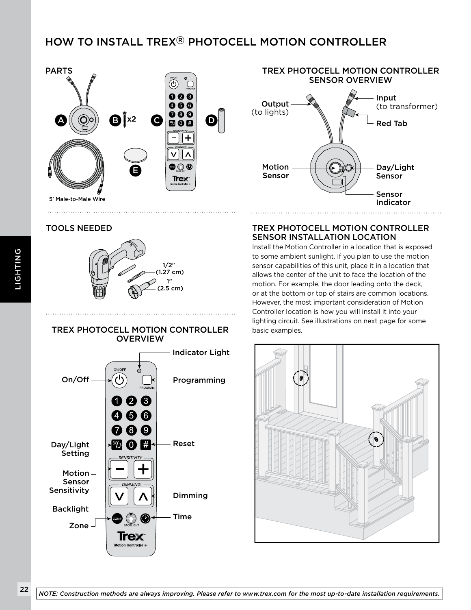## HOW TO INSTALL TREX® PHOTOCELL MOTION CONTROLLER



#### TOOLS NEEDED



#### TREX PHOTOCELL MOTION CONTROLLER **OVERVIEW**





#### TREX PHOTOCELL MOTION CONTROLLER SENSOR INSTALLATION LOCATION

Install the Motion Controller in a location that is exposed to some ambient sunlight. If you plan to use the motion sensor capabilities of this unit, place it in a location that allows the center of the unit to face the location of the motion. For example, the door leading onto the deck, or at the bottom or top of stairs are common locations. However, the most important consideration of Motion Controller location is how you will install it into your lighting circuit. See illustrations on next page for some basic examples.

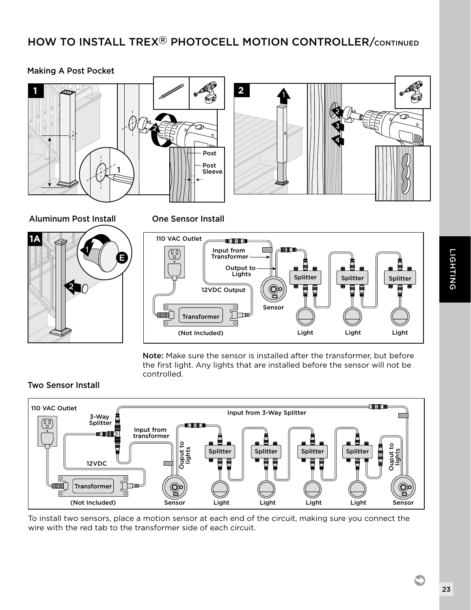## HOW TO INSTALL TREX® PHOTOCELL MOTION CONTROLLER/CONTINUED

#### Making A Post Pocket





Aluminum Post Install



One Sensor Install

Post



Note: Make sure the sensor is installed after the transformer, but before the first light. Any lights that are installed before the sensor will not be controlled.

#### Two Sensor Install



To install two sensors, place a motion sensor at each end of the circuit, making sure you connect the wire with the red tab to the transformer side of each circuit.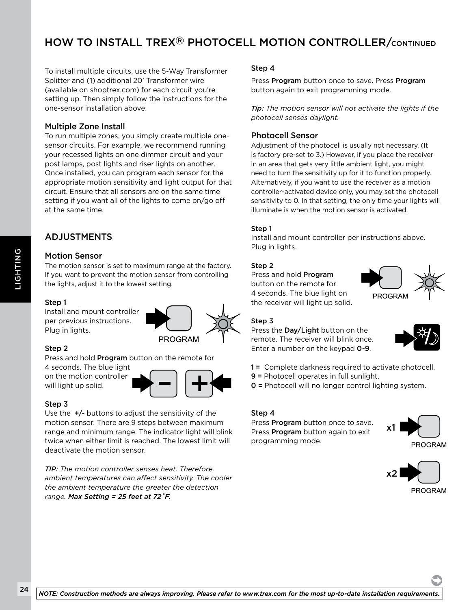## HOW TO INSTALL TREX® PHOTOCELL MOTION CONTROLLER/CONTINUED

To install multiple circuits, use the 5-Way Transformer Splitter and (1) additional 20' Transformer wire (available on shoptrex.com) for each circuit you're setting up. Then simply follow the instructions for the one-sensor installation above.

#### Multiple Zone Install

To run multiple zones, you simply create multiple onesensor circuits. For example, we recommend running your recessed lights on one dimmer circuit and your post lamps, post lights and riser lights on another. Once installed, you can program each sensor for the appropriate motion sensitivity and light output for that circuit. Ensure that all sensors are on the same time setting if you want all of the lights to come on/go off at the same time.

#### ADJUSTMENTS

#### Motion Sensor

The motion sensor is set to maximum range at the factory. If you want to prevent the motion sensor from controlling the lights, adjust it to the lowest setting.

**PROGRAM** 

#### Step 1

Install and mount controller per previous instructions. Plug in lights.

#### Step 2

Press and hold Program button on the remote for

4 seconds. The blue light on the motion controller will light up solid.

#### Step 3

Use the  $+/-$  buttons to adjust the sensitivity of the motion sensor. There are 9 steps between maximum range and minimum range. The indicator light will blink twice when either limit is reached. The lowest limit will deactivate the motion sensor.

*TIP: The motion controller senses heat. Therefore,* x1 *ambient temperatures can affect sensitivity. The cooler the ambient temperature the greater the detection range. Max Setting = 25 feet at 72˚F.*

#### Step 4

Press Program button once to save. Press Program button again to exit programming mode.

*Tip: The motion sensor will not activate the lights if the photocell senses daylight.*

#### Photocell Sensor

Adjustment of the photocell is usually not necessary. (It is factory pre-set to 3.) However, if you place the receiver in an area that gets very little ambient light, you might need to turn the sensitivity up for it to function properly. Alternatively, if you want to use the receiver as a motion controller-activated device only, you may set the photocell sensitivity to 0. In that setting, the only time your lights will illuminate is when the motion sensor is activated.

#### Step 1

Install and mount controller per instructions above. Plug in lights.

#### Step 2

Press and hold Program button on the remote for 4 seconds. The blue light on the receiver will light up solid.



#### Step 3

Press the Day/Light button on the remote. The receiver will blink once. Enter a number on the keypad 0-9.



1 = Complete darkness required to activate photocell.

- 9 = Photocell operates in full sunlight.
- 0 = Photocell will no longer control lighting system.

#### Step 4

Press Program button once to save. Press Program button again to exit programming mode.